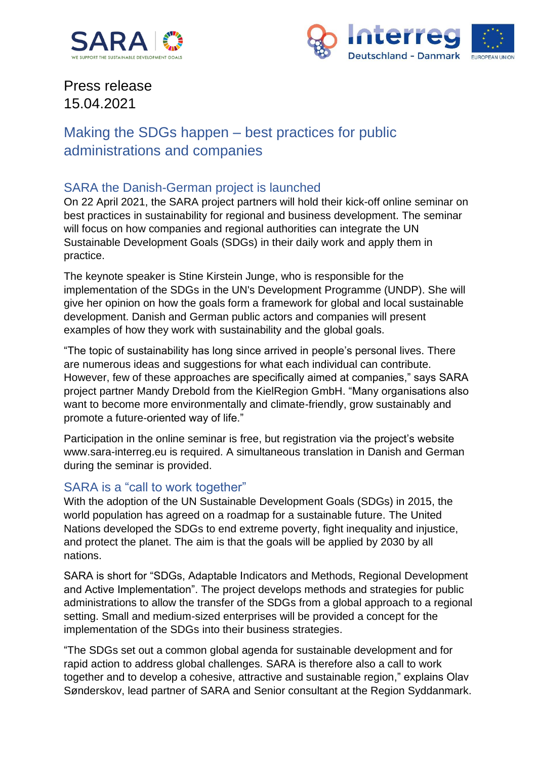



# Press release 15.04.2021

## Making the SDGs happen – best practices for public administrations and companies

### SARA the Danish-German project is launched

On 22 April 2021, the SARA project partners will hold their kick-off online seminar on best practices in sustainability for regional and business development. The seminar will focus on how companies and regional authorities can integrate the UN Sustainable Development Goals (SDGs) in their daily work and apply them in practice.

The keynote speaker is Stine Kirstein Junge, who is responsible for the implementation of the SDGs in the UN's Development Programme (UNDP). She will give her opinion on how the goals form a framework for global and local sustainable development. Danish and German public actors and companies will present examples of how they work with sustainability and the global goals.

"The topic of sustainability has long since arrived in people's personal lives. There are numerous ideas and suggestions for what each individual can contribute. However, few of these approaches are specifically aimed at companies," says SARA project partner Mandy Drebold from the KielRegion GmbH. "Many organisations also want to become more environmentally and climate-friendly, grow sustainably and promote a future-oriented way of life."

Participation in the online seminar is free, but registration via the project's website www.sara-interreg.eu is required. A simultaneous translation in Danish and German during the seminar is provided.

### SARA is a "call to work together"

With the adoption of the UN Sustainable Development Goals (SDGs) in 2015, the world population has agreed on a roadmap for a sustainable future. The United Nations developed the SDGs to end extreme poverty, fight inequality and injustice, and protect the planet. The aim is that the goals will be applied by 2030 by all nations.

SARA is short for "SDGs, Adaptable Indicators and Methods, Regional Development and Active Implementation". The project develops methods and strategies for public administrations to allow the transfer of the SDGs from a global approach to a regional setting. Small and medium-sized enterprises will be provided a concept for the implementation of the SDGs into their business strategies.

"The SDGs set out a common global agenda for sustainable development and for rapid action to address global challenges. SARA is therefore also a call to work together and to develop a cohesive, attractive and sustainable region," explains Olav Sønderskov, lead partner of SARA and Senior consultant at the Region Syddanmark.